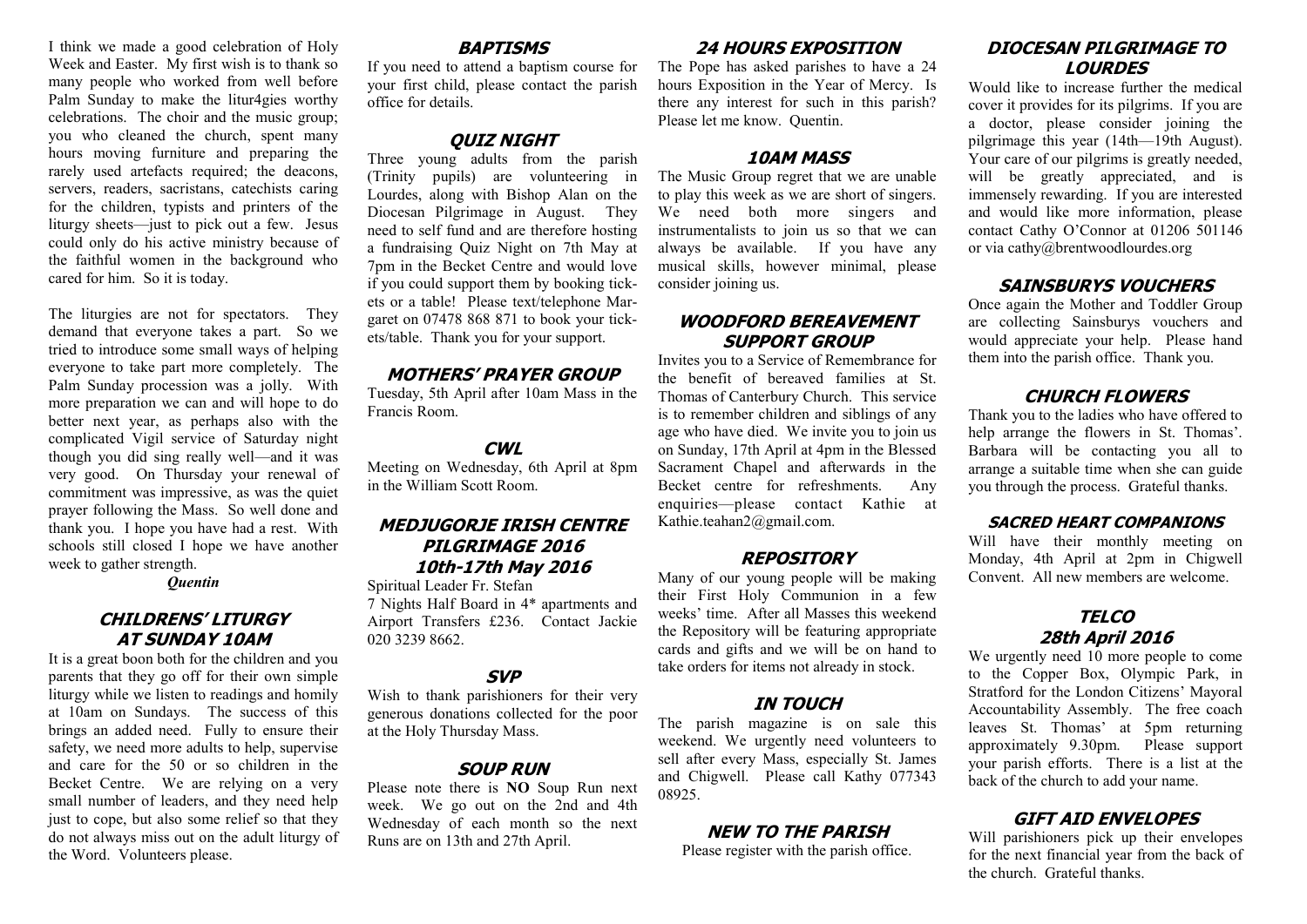I think we made a good celebration of Holy Week and Easter. My first wish is to thank so many people who worked from well before Palm Sunday to make the litur4gies worthy celebrations. The choir and the music group; you who cleaned the church, spent many hours moving furniture and preparing the rarely used artefacts required; the deacons, servers, readers, sacristans, catechists caring for the children, typists and printers of the liturgy sheets—just to pick out a few. Jesus could only do his active ministry because of the faithful women in the background who cared for him. So it is today.

The liturgies are not for spectators. They demand that everyone takes a part. So we tried to introduce some small ways of helping everyone to take part more completely. The Palm Sunday procession was a jolly. With more preparation we can and will hope to do better next year, as perhaps also with the complicated Vigil service of Saturday night though you did sing really well—and it was very good. On Thursday your renewal of commitment was impressive, as was the quiet prayer following the Mass. So well done and thank you. I hope you have had a rest. With schools still closed I hope we have another week to gather strength.

*Quentin*

#### **CHILDRENS' LITURGY AT SUNDAY 10AM**

It is a great boon both for the children and you parents that they go off for their own simple liturgy while we listen to readings and homily at 10am on Sundays. The success of this brings an added need. Fully to ensure their safety, we need more adults to help, supervise and care for the 50 or so children in the Becket Centre. We are relying on a very small number of leaders, and they need help just to cope, but also some relief so that they do not always miss out on the adult liturgy of the Word. Volunteers please.

#### **BAPTISMS**

If you need to attend a baptism course for your first child, please contact the parish office for details.

### **QUIZ NIGHT**

Three young adults from the parish (Trinity pupils) are volunteering in Lourdes, along with Bishop Alan on the Diocesan Pilgrimage in August. They need to self fund and are therefore hosting a fundraising Quiz Night on 7th May at 7pm in the Becket Centre and would love if you could support them by booking tickets or a table! Please text/telephone Margaret on 07478 868 871 to book your tickets/table. Thank you for your support.

#### **MOTHERS' PRAYER GROUP**

Tuesday, 5th April after 10am Mass in the Francis Room.

#### **CWL**

Meeting on Wednesday, 6th April at 8pm in the William Scott Room.

#### **MEDJUGORJE IRISH CENTRE PILGRIMAGE 2016 10th-17th May 2016**

Spiritual Leader Fr. Stefan

7 Nights Half Board in 4\* apartments and Airport Transfers £236. Contact Jackie 020 3239 8662.

#### **SVP**

Wish to thank parishioners for their very generous donations collected for the poor at the Holy Thursday Mass.

#### **SOUP RUN**

Please note there is **NO** Soup Run next week. We go out on the 2nd and 4th Wednesday of each month so the next Runs are on 13th and 27th April.

#### **24 HOURS EXPOSITION**

The Pope has asked parishes to have a 24 hours Exposition in the Year of Mercy. Is there any interest for such in this parish? Please let me know. Quentin.

#### **10AM MASS**

The Music Group regret that we are unable to play this week as we are short of singers. We need both more singers and instrumentalists to join us so that we can always be available. If you have any musical skills, however minimal, please consider joining us.

#### **WOODFORD BEREAVEMENT SUPPORT GROUP**

Invites you to a Service of Remembrance for the benefit of bereaved families at St. Thomas of Canterbury Church. This service is to remember children and siblings of any age who have died. We invite you to join us on Sunday, 17th April at 4pm in the Blessed Sacrament Chapel and afterwards in the Becket centre for refreshments. Any enquiries—please contact Kathie at Kathie.teahan2@gmail.com.

#### **REPOSITORY**

Many of our young people will be making their First Holy Communion in a few weeks' time. After all Masses this weekend the Repository will be featuring appropriate cards and gifts and we will be on hand to take orders for items not already in stock.

#### **IN TOUCH**

The parish magazine is on sale this weekend. We urgently need volunteers to sell after every Mass, especially St. James and Chigwell. Please call Kathy 077343 08925.

#### **NEW TO THE PARISH**

Please register with the parish office.

#### **DIOCESAN PILGRIMAGE TO LOURDES**

Would like to increase further the medical cover it provides for its pilgrims. If you are a doctor, please consider joining the pilgrimage this year (14th—19th August). Your care of our pilgrims is greatly needed, will be greatly appreciated, and is immensely rewarding. If you are interested and would like more information, please contact Cathy O'Connor at 01206 501146 or via cathy@brentwoodlourdes.org

#### **SAINSBURYS VOUCHERS**

Once again the Mother and Toddler Group are collecting Sainsburys vouchers and would appreciate your help. Please hand them into the parish office. Thank you.

#### **CHURCH FLOWERS**

Thank you to the ladies who have offered to help arrange the flowers in St. Thomas'. Barbara will be contacting you all to arrange a suitable time when she can guide you through the process. Grateful thanks.

#### **SACRED HEART COMPANIONS**

Will have their monthly meeting on Monday, 4th April at 2pm in Chigwell Convent. All new members are welcome.

#### **TELCO 28th April 2016**

We urgently need 10 more people to come to the Copper Box, Olympic Park, in Stratford for the London Citizens' Mayoral Accountability Assembly. The free coach leaves St. Thomas' at 5pm returning approximately 9.30pm. Please support your parish efforts. There is a list at the back of the church to add your name.

#### **GIFT AID ENVELOPES**

Will parishioners pick up their envelopes for the next financial year from the back of the church. Grateful thanks.